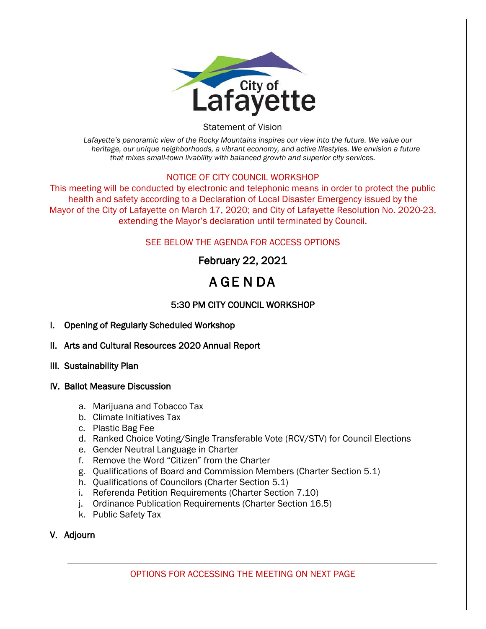

Statement of Vision

*Lafayette's panoramic view of the Rocky Mountains inspires our view into the future. We value our heritage, our unique neighborhoods, a vibrant economy, and active lifestyles. We envision a future that mixes small-town livability with balanced growth and superior city services.*

#### NOTICE OF CITY COUNCIL WORKSHOP

This meeting will be conducted by electronic and telephonic means in order to protect the public health and safety according to a Declaration of Local Disaster Emergency issued by the Mayor of the City of Lafayette on March 17, 2020; and City of Lafayette Resolution No. 2020-23, extending the Mayor's declaration until terminated by Council.

### SEE BELOW THE AGENDA FOR ACCESS OPTIONS

# February 22, 2021

# A GE N DA

## 5:30 PM CITY COUNCIL WORKSHOP

- I. Opening of Regularly Scheduled Workshop
- II. Arts and Cultural Resources 2020 Annual Report
- III. Sustainability Plan
- IV. Ballot Measure Discussion
	- a. Marijuana and Tobacco Tax
	- b. Climate Initiatives Tax
	- c. Plastic Bag Fee
	- d. Ranked Choice Voting/Single Transferable Vote (RCV/STV) for Council Elections
	- e. Gender Neutral Language in Charter
	- f. Remove the Word "Citizen" from the Charter
	- g. Qualifications of Board and Commission Members (Charter Section 5.1)
	- h. Qualifications of Councilors (Charter Section 5.1)
	- i. Referenda Petition Requirements (Charter Section 7.10)
	- j. Ordinance Publication Requirements (Charter Section 16.5)
	- k. Public Safety Tax

## V. Adjourn

OPTIONS FOR ACCESSING THE MEETING ON NEXT PAGE